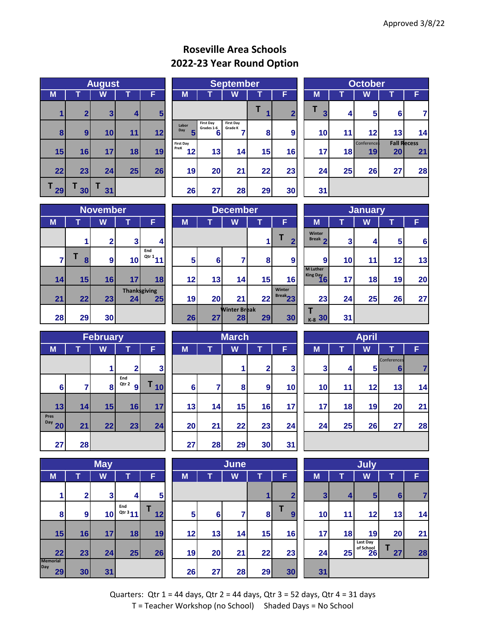## **Roseville Area Schools 2022-23 Year Round Option**

|         | <b>August</b>           |         |    |    |  |  |  |  |  |  |  |  |
|---------|-------------------------|---------|----|----|--|--|--|--|--|--|--|--|
| M       |                         | F       |    |    |  |  |  |  |  |  |  |  |
| 1       | $\overline{\mathbf{2}}$ | 3       | 4  | 5  |  |  |  |  |  |  |  |  |
| 8       | 9                       | 10      | 11 | 12 |  |  |  |  |  |  |  |  |
| 15      | 16                      | 17      | 18 | 19 |  |  |  |  |  |  |  |  |
| 22      | 23                      | 24      | 25 | 26 |  |  |  |  |  |  |  |  |
| Τ<br>29 | 30                      | Т<br>31 |    |    |  |  |  |  |  |  |  |  |

|    | <b>August</b>    |                 |    |                |                   | <b>September</b>                    |                             |    |                |                 | <b>October</b> |                    |           |                    |  |
|----|------------------|-----------------|----|----------------|-------------------|-------------------------------------|-----------------------------|----|----------------|-----------------|----------------|--------------------|-----------|--------------------|--|
| M  |                  | W               |    | F              | M                 |                                     | W                           |    | F              | M               |                | W                  |           | F                  |  |
|    | $\overline{2}$   | 3 <sub>l</sub>  | 4  | 5 <sup>5</sup> |                   |                                     |                             |    | $\overline{2}$ | 3               | 4              | 5 <sup>5</sup>     | $6 \mid$  |                    |  |
| 8  | $\boldsymbol{9}$ | 10 <sub>l</sub> | 11 | 12             | Labor<br>Day      | <b>First Day</b><br>Grades 1-6<br>6 | <b>First Day</b><br>Grade K | 8  | 9              | 10 <sup>1</sup> | 11             | 12                 | 13        | 14                 |  |
|    |                  |                 |    |                | First Day<br>PreK |                                     |                             |    |                |                 |                | <b>Conferences</b> |           | <b>Fall Recess</b> |  |
| 15 | 16               | 17 <sup>1</sup> | 18 | 19             | 12                | 13                                  | 14                          | 15 | 16             | 17              | 18             | 19                 | <b>20</b> | 21                 |  |
| 22 | 23               | 24              | 25 | 26             | 19                | 20                                  | 21                          | 22 | 23             | 24              | 25             | 26                 | 27        | 28                 |  |
| 29 | 30               | 31 <sub>1</sub> |    |                | 26                | 27                                  | 28                          | 29 | 30             | 31              |                |                    |           |                    |  |

| <b>October</b> |    |                   |                 |                          |  |  |  |  |  |  |  |
|----------------|----|-------------------|-----------------|--------------------------|--|--|--|--|--|--|--|
| M              | W  |                   |                 |                          |  |  |  |  |  |  |  |
| T<br>3         | 4  | 5                 | $6\phantom{1}6$ | 7                        |  |  |  |  |  |  |  |
| 10             | 11 | 12                | 13              | 14                       |  |  |  |  |  |  |  |
| 17             | 18 | Conference:<br>19 | 20              | <b>Fall Recess</b><br>21 |  |  |  |  |  |  |  |
| 24             | 25 | 26                | 27              | 28                       |  |  |  |  |  |  |  |
| 31             |    |                   |                 |                          |  |  |  |  |  |  |  |

|    |        | <b>November</b> |                            |              |
|----|--------|-----------------|----------------------------|--------------|
| M  |        | W               |                            | F            |
|    | 1      | $\overline{2}$  | 3                          | 4            |
| 7  | т<br>8 | 9               | 10                         | End<br>Qtr 1 |
| 14 | 15     | 16              | 17                         | 18           |
| 21 | 22     | 23              | <b>Thank</b> sgiving<br>24 | 25           |
| 28 | 29     | 30              |                            |              |

|    | <b>November</b> |                  |    |                                        |                 | <b>December</b> |                           |    |                      |  |                             | <b>January</b> |    |                 |    |  |
|----|-----------------|------------------|----|----------------------------------------|-----------------|-----------------|---------------------------|----|----------------------|--|-----------------------------|----------------|----|-----------------|----|--|
| M  |                 | W                |    | F                                      | M               |                 | W                         |    | E                    |  | M                           |                | W  |                 | F  |  |
|    |                 | 2 <sub>1</sub>   | 3  | $\overline{\mathbf{A}}$                |                 |                 |                           |    | $\overline{2}$       |  | <b>Winter</b><br>Break 2    | 3              | 4  | 5 <sup>1</sup>  | 6  |  |
|    | 8               | $\boldsymbol{9}$ | 10 | End<br>$\frac{Q \text{tr} 1}{11}$      | $5\phantom{.0}$ | 6               |                           | 8  | 9                    |  | 9                           | 10             | 11 | 12 <sub>1</sub> | 13 |  |
| 14 | 15              | 16               | 17 | 18                                     | 12              | 13              | 14                        | 15 | 16                   |  | <b>M</b> Luther<br>King Day | 17             | 18 | 19              | 20 |  |
| 21 | 22              | 23 <sub>l</sub>  | 24 | <b>Thanksgiving</b><br>25 <sub>1</sub> | 19              | 20              | 21                        | 22 | Winter<br>$Break$ 23 |  | 23                          | 24             | 25 | 26              | 27 |  |
| 28 | 29              | 30 <sub>l</sub>  |    |                                        | 26              | 27              | <b>Winter Break</b><br>28 | 29 | 30                   |  | K-8 30                      | 31             |    |                 |    |  |
|    |                 |                  |    |                                        |                 |                 |                           |    |                      |  |                             |                |    |                 |    |  |

|                                   | <b>January</b> |    |    |    |  |  |  |  |  |  |  |  |  |
|-----------------------------------|----------------|----|----|----|--|--|--|--|--|--|--|--|--|
| M                                 |                | W  | т  | F  |  |  |  |  |  |  |  |  |  |
| Winter<br>Break 2                 | 3              | 4  | 5  | 6  |  |  |  |  |  |  |  |  |  |
| 9                                 | 10             | 11 | 12 | 13 |  |  |  |  |  |  |  |  |  |
| <b>M</b> Luther<br>King Day<br>16 | 17             | 18 | 19 | 20 |  |  |  |  |  |  |  |  |  |
| 23                                | 24             | 25 | 26 | 27 |  |  |  |  |  |  |  |  |  |
| Т<br><sub>к-8</sub> 30            | 31             |    |    |    |  |  |  |  |  |  |  |  |  |

| <b>February</b>   |    |    |                   |    |  |  |  |  |  |  |  |
|-------------------|----|----|-------------------|----|--|--|--|--|--|--|--|
| M                 |    | W  | т                 | F  |  |  |  |  |  |  |  |
|                   |    | 1  | $\mathbf{2}$      | 3  |  |  |  |  |  |  |  |
| 6                 | 7  | 8  | End<br>Qtr 2<br>9 | 10 |  |  |  |  |  |  |  |
| 13                | 14 | 15 | 16                | 17 |  |  |  |  |  |  |  |
| Pres<br>Day<br>20 | 21 | 22 | 23                | 24 |  |  |  |  |  |  |  |
| 27                | 28 |    |                   |    |  |  |  |  |  |  |  |

|                              | <b>May</b> |    |                  |         |  |  |  |  |  |  |  |  |
|------------------------------|------------|----|------------------|---------|--|--|--|--|--|--|--|--|
| M                            | т          | W  | т                | F       |  |  |  |  |  |  |  |  |
| 1                            | 2          | 3  | 4                | 5       |  |  |  |  |  |  |  |  |
| 8                            | 9          | 10 | End<br>Qtr $311$ | т<br>12 |  |  |  |  |  |  |  |  |
| 15                           | 16         | 17 | 18               | 19      |  |  |  |  |  |  |  |  |
| 22                           | 23         | 24 | 25               | 26      |  |  |  |  |  |  |  |  |
| <b>Memorial</b><br>Day<br>29 | 30         | 31 |                  |         |  |  |  |  |  |  |  |  |

|                            | <b>February</b> |    |                   |                         |    |                | <b>March</b> |                |    | <b>April</b> |    |                |                  |   |
|----------------------------|-----------------|----|-------------------|-------------------------|----|----------------|--------------|----------------|----|--------------|----|----------------|------------------|---|
| M                          |                 | W  |                   | F                       | M  | Т              | W            | T              | F  | M            |    | W              |                  | F |
|                            |                 |    | 2 <sup>1</sup>    | $\overline{\mathbf{3}}$ |    |                |              | 2 <sub>1</sub> | 3  | 3            | 4  | 5 <sub>l</sub> | Conferences<br>6 |   |
| 6                          |                 | 8  | End<br>Qtr 2<br>9 | 10                      | 6  | $\overline{7}$ | 8            | $\overline{9}$ | 10 | 10           | 11 | 12             | 13               |   |
| 13                         | 14              | 15 | 16                | 17                      | 13 | 14             | 15           | 16             | 17 | 17           | 18 | 19             | 20               |   |
| es<br>$^{\prime\prime}$ 20 | 21              | 22 | 23                | 24                      | 20 | 21             | 22           | 23             | 24 | 24           | 25 | 26             | 27               |   |
| 27                         | 28              |    |                   |                         | 27 | 28             | 29           | 30             | 31 |              |    |                |                  |   |

|              |                | <b>May</b>      |                            |                |    |    | June |    |                |    | July                    |                       |                |    |
|--------------|----------------|-----------------|----------------------------|----------------|----|----|------|----|----------------|----|-------------------------|-----------------------|----------------|----|
| M            |                | W               |                            | F              | M  |    | W    |    | F              | M  |                         | W                     |                | F  |
|              | 2 <sub>1</sub> | $\mathbf{3}$    | $\vert$                    | 5 <sub>1</sub> |    |    |      |    | $\overline{2}$ |    | $\mathbf{3}$<br>$\vert$ | 5 <sup>5</sup>        | 6 <sup>1</sup> | 7  |
| 8            | 9 <sup>1</sup> | 10 <sub>l</sub> | End<br>Qtr <sup>3</sup> 11 | 12             | 5  | 6  | 7    | 8  | 9              | 10 | 11                      | 12                    | 13             | 14 |
| 15           | 16             | 17 <sub>1</sub> | 18                         | 19             | 12 | 13 | 14   | 15 | 16             | 17 | 18                      | 19                    | 20             | 21 |
| 22           | 23             | 24              | 25                         | 26             | 19 | 20 | 21   | 22 | 23             | 24 | 25                      | Last Day<br>of School | 27             | 28 |
| norial<br>29 | 30             | 31              |                            |                | 26 | 27 | 28   | 29 | 30             | 31 |                         |                       |                |    |

|                 |     | <b>February</b> |                                |                |    |                 | <b>March</b> |                 |                 |                 |    | <b>April</b>   |                  |    |
|-----------------|-----|-----------------|--------------------------------|----------------|----|-----------------|--------------|-----------------|-----------------|-----------------|----|----------------|------------------|----|
|                 |     | W               |                                | F              | M  |                 | W            |                 | F               | M               |    | W              |                  | F  |
|                 |     |                 | ◠                              | 3 <sup>1</sup> |    |                 |              | $\overline{2}$  | 3               | 3 <sub>l</sub>  | 4  | 5 <sub>l</sub> | Conferences<br>6 |    |
| $6 \,$          |     | 8               | End<br>Qtr 2<br>$\overline{9}$ | 10             | 6  | 7               | 8            | 9               | 10              | 10              | 11 | 12             | 13 <sup>l</sup>  | 14 |
| 13              | 14  | 15              | 16                             | 17             | 13 | 14              | 15           | 16              | 17 <sub>1</sub> | 17 <sub>1</sub> | 18 | 19             | 20 <sub>l</sub>  | 21 |
| 20 <sup>1</sup> | 21  | 22              | 23                             | 24             | 20 | 21              | 22           | 23              | 24              | 24              | 25 | 26             | 27               | 28 |
| 27 I            | 281 |                 |                                |                | 27 | 28 <sup>1</sup> | 29           | 30 <sub>l</sub> | 31 <sup>1</sup> |                 |    |                |                  |    |

|    | July |                             |                 |    |  |  |  |  |  |  |  |  |
|----|------|-----------------------------|-----------------|----|--|--|--|--|--|--|--|--|
| M  | т    | W                           |                 | F  |  |  |  |  |  |  |  |  |
| 3  | 4    | 5                           | $6\phantom{1}6$ | 7  |  |  |  |  |  |  |  |  |
| 10 | 11   | 12                          | 13              | 14 |  |  |  |  |  |  |  |  |
| 17 | 18   | 19                          | 20              | 21 |  |  |  |  |  |  |  |  |
| 24 | 25   | Last Day<br>of School<br>26 | 27              | 28 |  |  |  |  |  |  |  |  |
| 31 |      |                             |                 |    |  |  |  |  |  |  |  |  |

Quarters: Qtr  $1 = 44$  days, Qtr  $2 = 44$  days, Qtr  $3 = 52$  days, Qtr  $4 = 31$  days T = Teacher Workshop (no School) Shaded Days = No School